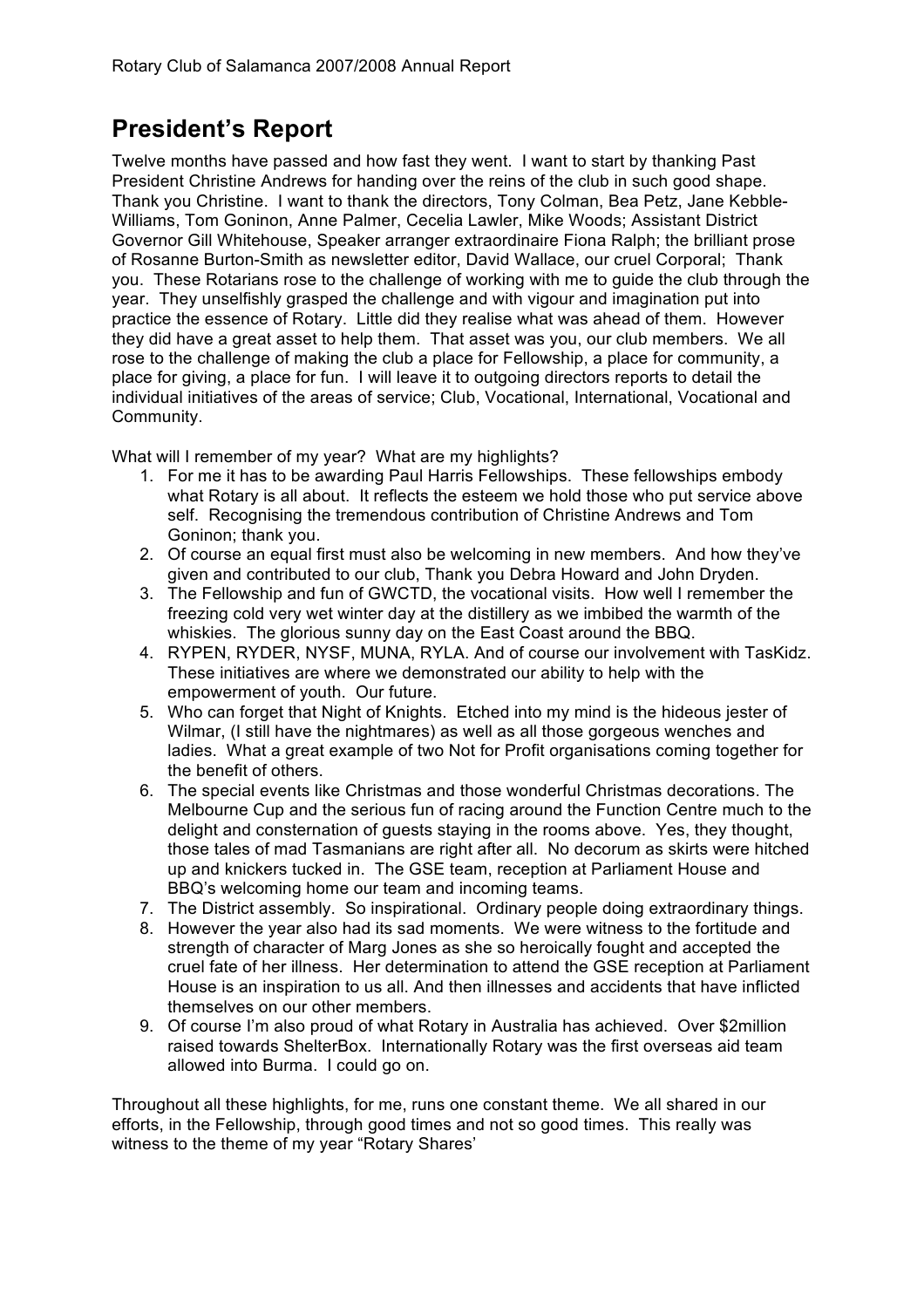# **President's Report**

Twelve months have passed and how fast they went. I want to start by thanking Past President Christine Andrews for handing over the reins of the club in such good shape. Thank you Christine. I want to thank the directors, Tony Colman, Bea Petz, Jane Kebble-Williams, Tom Goninon, Anne Palmer, Cecelia Lawler, Mike Woods; Assistant District Governor Gill Whitehouse, Speaker arranger extraordinaire Fiona Ralph; the brilliant prose of Rosanne Burton-Smith as newsletter editor, David Wallace, our cruel Corporal; Thank you. These Rotarians rose to the challenge of working with me to guide the club through the year. They unselfishly grasped the challenge and with vigour and imagination put into practice the essence of Rotary. Little did they realise what was ahead of them. However they did have a great asset to help them. That asset was you, our club members. We all rose to the challenge of making the club a place for Fellowship, a place for community, a place for giving, a place for fun. I will leave it to outgoing directors reports to detail the individual initiatives of the areas of service; Club, Vocational, International, Vocational and Community.

What will I remember of my year? What are my highlights?

- 1. For me it has to be awarding Paul Harris Fellowships. These fellowships embody what Rotary is all about. It reflects the esteem we hold those who put service above self. Recognising the tremendous contribution of Christine Andrews and Tom Goninon; thank you.
- 2. Of course an equal first must also be welcoming in new members. And how they've given and contributed to our club, Thank you Debra Howard and John Dryden.
- 3. The Fellowship and fun of GWCTD, the vocational visits. How well I remember the freezing cold very wet winter day at the distillery as we imbibed the warmth of the whiskies. The glorious sunny day on the East Coast around the BBQ.
- 4. RYPEN, RYDER, NYSF, MUNA, RYLA. And of course our involvement with TasKidz. These initiatives are where we demonstrated our ability to help with the empowerment of youth. Our future.
- 5. Who can forget that Night of Knights. Etched into my mind is the hideous jester of Wilmar, (I still have the nightmares) as well as all those gorgeous wenches and ladies. What a great example of two Not for Profit organisations coming together for the benefit of others.
- 6. The special events like Christmas and those wonderful Christmas decorations. The Melbourne Cup and the serious fun of racing around the Function Centre much to the delight and consternation of guests staying in the rooms above. Yes, they thought, those tales of mad Tasmanians are right after all. No decorum as skirts were hitched up and knickers tucked in. The GSE team, reception at Parliament House and BBQ's welcoming home our team and incoming teams.
- 7. The District assembly. So inspirational. Ordinary people doing extraordinary things.
- 8. However the year also had its sad moments. We were witness to the fortitude and strength of character of Marg Jones as she so heroically fought and accepted the cruel fate of her illness. Her determination to attend the GSE reception at Parliament House is an inspiration to us all. And then illnesses and accidents that have inflicted themselves on our other members.
- 9. Of course I'm also proud of what Rotary in Australia has achieved. Over \$2million raised towards ShelterBox. Internationally Rotary was the first overseas aid team allowed into Burma. I could go on.

Throughout all these highlights, for me, runs one constant theme. We all shared in our efforts, in the Fellowship, through good times and not so good times. This really was witness to the theme of my year "Rotary Shares'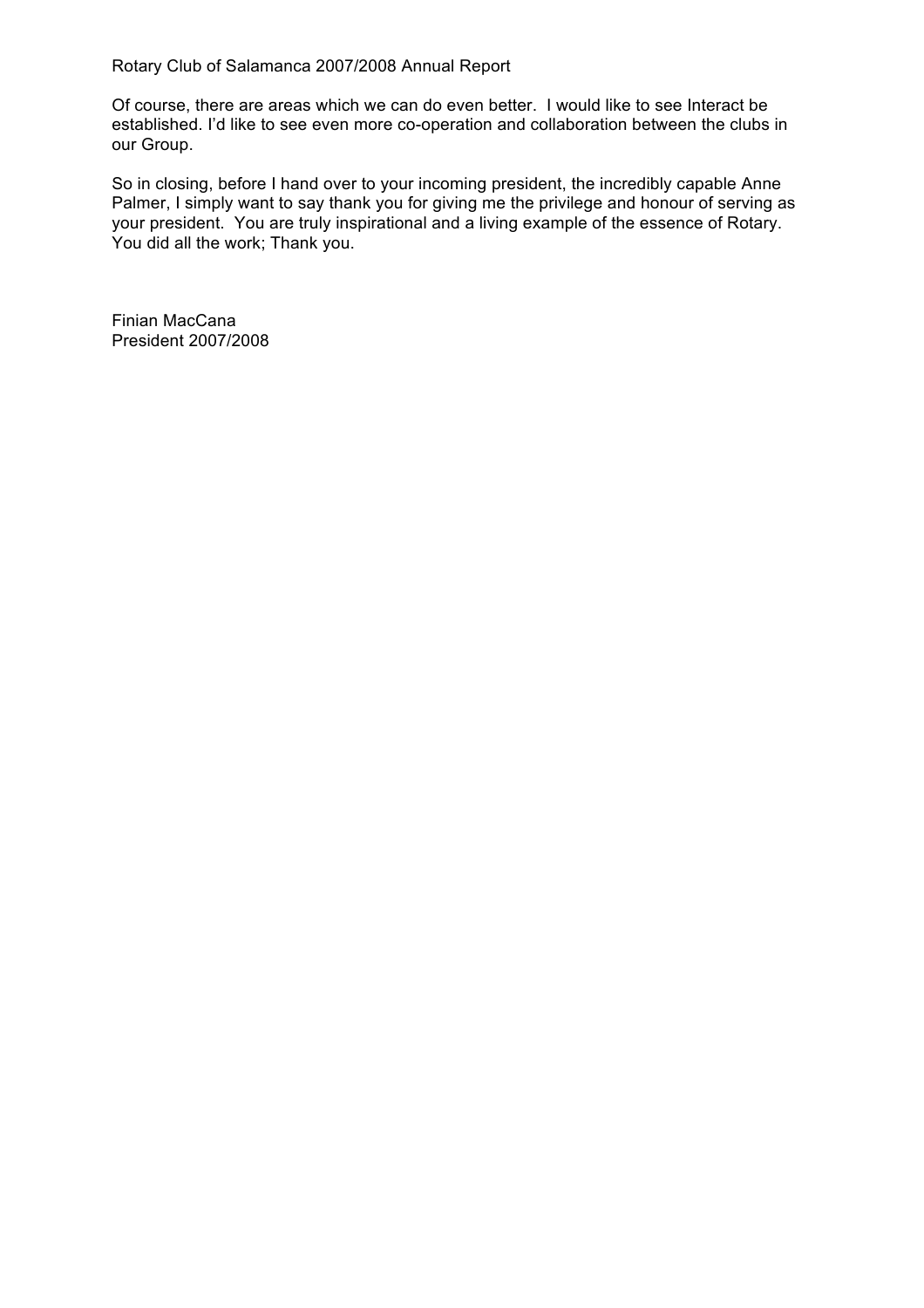Of course, there are areas which we can do even better. I would like to see Interact be established. I'd like to see even more co-operation and collaboration between the clubs in our Group.

So in closing, before I hand over to your incoming president, the incredibly capable Anne Palmer, I simply want to say thank you for giving me the privilege and honour of serving as your president. You are truly inspirational and a living example of the essence of Rotary. You did all the work; Thank you.

Finian MacCana President 2007/2008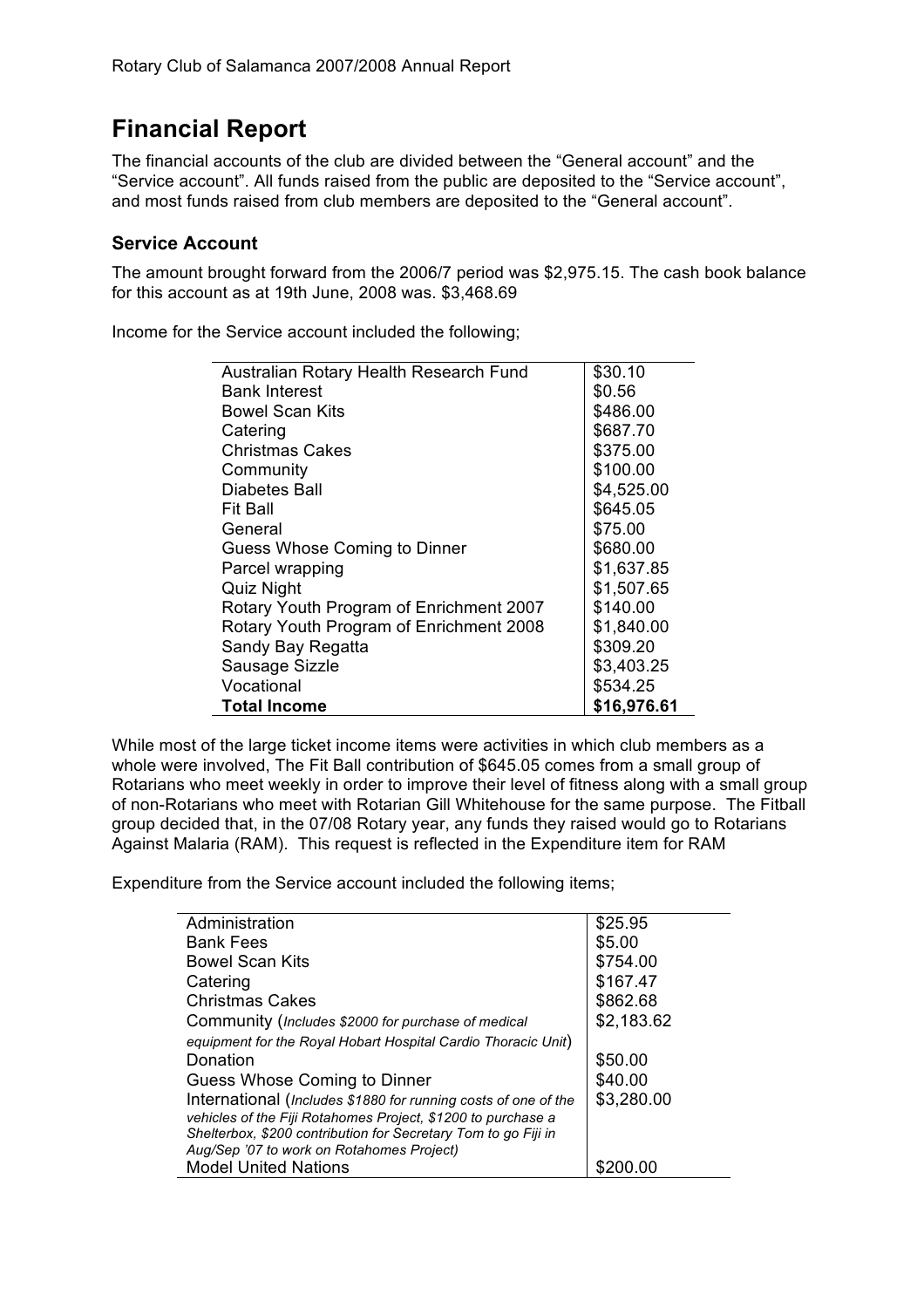# **Financial Report**

The financial accounts of the club are divided between the "General account" and the "Service account". All funds raised from the public are deposited to the "Service account", and most funds raised from club members are deposited to the "General account".

### **Service Account**

The amount brought forward from the 2006/7 period was \$2,975.15. The cash book balance for this account as at 19th June, 2008 was. \$3,468.69

Income for the Service account included the following;

| Australian Rotary Health Research Fund  | \$30.10     |
|-----------------------------------------|-------------|
| <b>Bank Interest</b>                    | \$0.56      |
| <b>Bowel Scan Kits</b>                  | \$486.00    |
| Catering                                | \$687.70    |
| <b>Christmas Cakes</b>                  | \$375.00    |
| Community                               | \$100.00    |
| Diabetes Ball                           | \$4,525.00  |
| Fit Ball                                | \$645.05    |
| General                                 | \$75.00     |
| Guess Whose Coming to Dinner            | \$680.00    |
| Parcel wrapping                         | \$1,637.85  |
| <b>Quiz Night</b>                       | \$1,507.65  |
| Rotary Youth Program of Enrichment 2007 | \$140.00    |
| Rotary Youth Program of Enrichment 2008 | \$1,840.00  |
| Sandy Bay Regatta                       | \$309.20    |
| Sausage Sizzle                          | \$3,403.25  |
| Vocational                              | \$534.25    |
| <b>Total Income</b>                     | \$16,976.61 |

While most of the large ticket income items were activities in which club members as a whole were involved, The Fit Ball contribution of \$645.05 comes from a small group of Rotarians who meet weekly in order to improve their level of fitness along with a small group of non-Rotarians who meet with Rotarian Gill Whitehouse for the same purpose. The Fitball group decided that, in the 07/08 Rotary year, any funds they raised would go to Rotarians Against Malaria (RAM). This request is reflected in the Expenditure item for RAM

Expenditure from the Service account included the following items;

| Administration                                                 | \$25.95    |
|----------------------------------------------------------------|------------|
| <b>Bank Fees</b>                                               | \$5.00     |
| <b>Bowel Scan Kits</b>                                         | \$754.00   |
| Catering                                                       | \$167.47   |
| <b>Christmas Cakes</b>                                         | \$862.68   |
| Community (Includes \$2000 for purchase of medical             | \$2,183.62 |
| equipment for the Royal Hobart Hospital Cardio Thoracic Unit)  |            |
| Donation                                                       | \$50.00    |
| Guess Whose Coming to Dinner                                   | \$40.00    |
| International (Includes \$1880 for running costs of one of the | \$3,280.00 |
| vehicles of the Fiji Rotahomes Project, \$1200 to purchase a   |            |
| Shelterbox, \$200 contribution for Secretary Tom to go Fiji in |            |
| Aug/Sep '07 to work on Rotahomes Project)                      |            |
| <b>Model United Nations</b>                                    |            |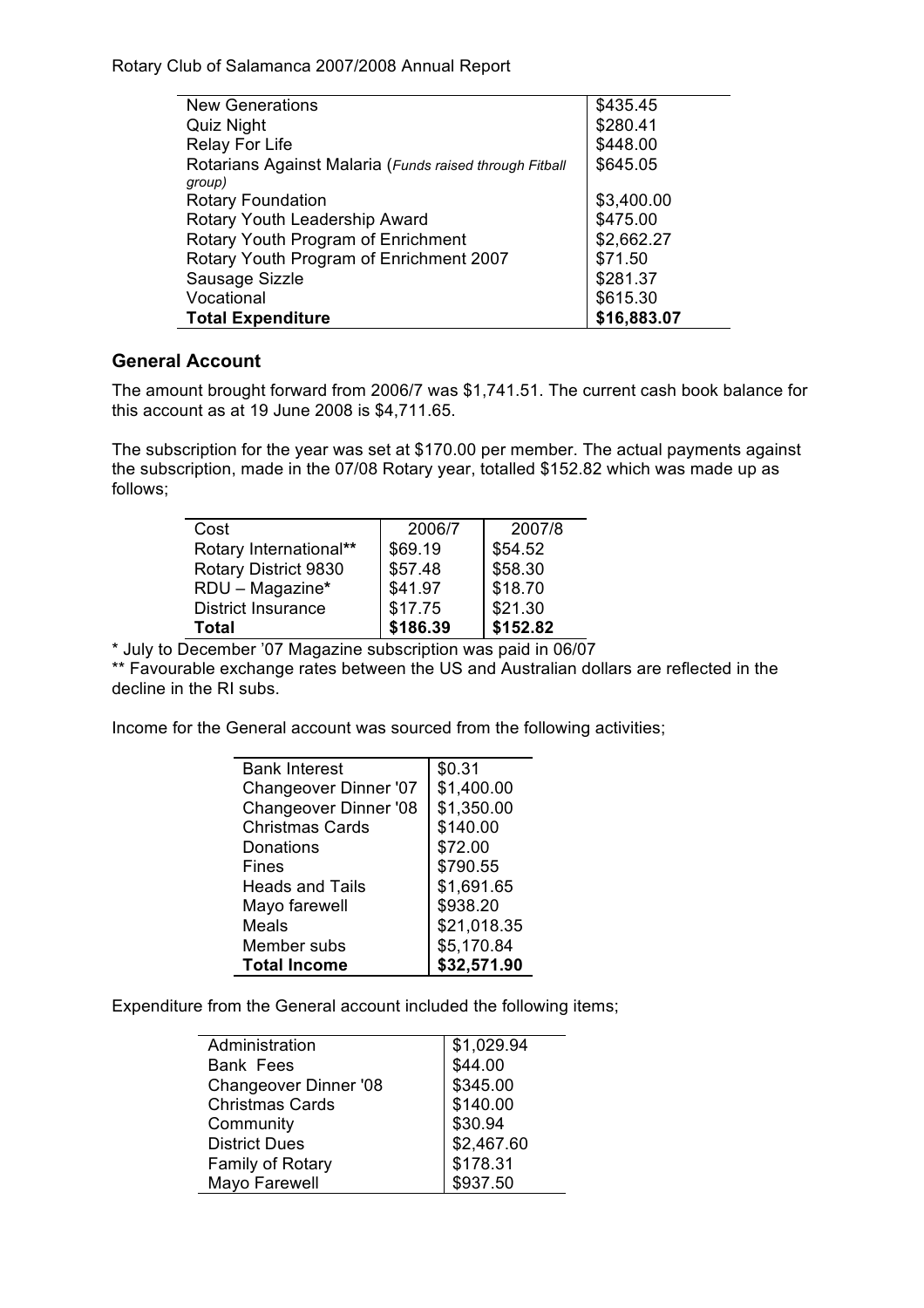| <b>New Generations</b>                                  | \$435.45    |
|---------------------------------------------------------|-------------|
| Quiz Night                                              | \$280.41    |
| <b>Relay For Life</b>                                   | \$448.00    |
| Rotarians Against Malaria (Funds raised through Fitball | \$645.05    |
| group)                                                  |             |
| <b>Rotary Foundation</b>                                | \$3,400.00  |
| Rotary Youth Leadership Award                           | \$475.00    |
| Rotary Youth Program of Enrichment                      | \$2,662.27  |
| Rotary Youth Program of Enrichment 2007                 | \$71.50     |
| Sausage Sizzle                                          | \$281.37    |
| Vocational                                              | \$615.30    |
| <b>Total Expenditure</b>                                | \$16,883.07 |

# **General Account**

The amount brought forward from 2006/7 was \$1,741.51. The current cash book balance for this account as at 19 June 2008 is \$4,711.65.

The subscription for the year was set at \$170.00 per member. The actual payments against the subscription, made in the 07/08 Rotary year, totalled \$152.82 which was made up as follows;

| Cost                      | 2006/7   | 2007/8   |
|---------------------------|----------|----------|
| Rotary International**    | \$69.19  | \$54.52  |
| Rotary District 9830      | \$57.48  | \$58.30  |
| RDU - Magazine*           | \$41.97  | \$18.70  |
| <b>District Insurance</b> | \$17.75  | \$21.30  |
| Total                     | \$186.39 | \$152.82 |

\* July to December '07 Magazine subscription was paid in 06/07

\*\* Favourable exchange rates between the US and Australian dollars are reflected in the decline in the RI subs.

Income for the General account was sourced from the following activities;

| <b>Bank Interest</b>         | \$0.31      |
|------------------------------|-------------|
| Changeover Dinner '07        | \$1,400.00  |
| <b>Changeover Dinner '08</b> | \$1,350.00  |
| <b>Christmas Cards</b>       | \$140.00    |
| Donations                    | \$72.00     |
| Fines                        | \$790.55    |
| <b>Heads and Tails</b>       | \$1,691.65  |
| Mayo farewell                | \$938.20    |
| Meals                        | \$21,018.35 |
| Member subs                  | \$5,170.84  |
| <b>Total Income</b>          | \$32,571.90 |

Expenditure from the General account included the following items;

| Administration         | \$1,029.94 |
|------------------------|------------|
| <b>Bank Fees</b>       | \$44.00    |
| Changeover Dinner '08  | \$345.00   |
| <b>Christmas Cards</b> | \$140.00   |
| Community              | \$30.94    |
| <b>District Dues</b>   | \$2,467.60 |
| Family of Rotary       | \$178.31   |
| Mayo Farewell          | \$937.50   |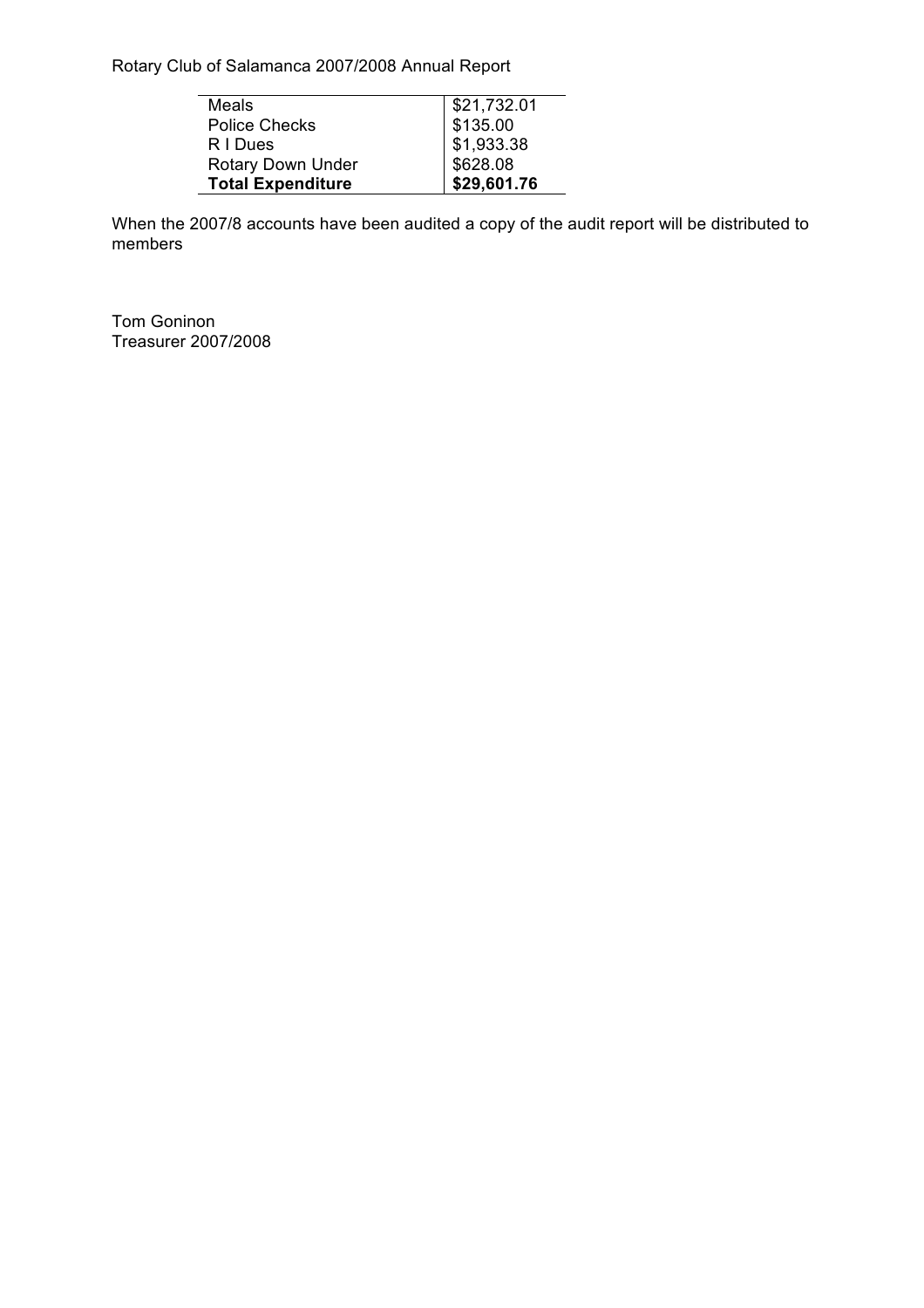| Meals                    | \$21,732.01 |
|--------------------------|-------------|
| <b>Police Checks</b>     | \$135.00    |
| R I Dues                 | \$1,933.38  |
| Rotary Down Under        | \$628.08    |
| <b>Total Expenditure</b> | \$29,601.76 |

When the 2007/8 accounts have been audited a copy of the audit report will be distributed to members

Tom Goninon Treasurer 2007/2008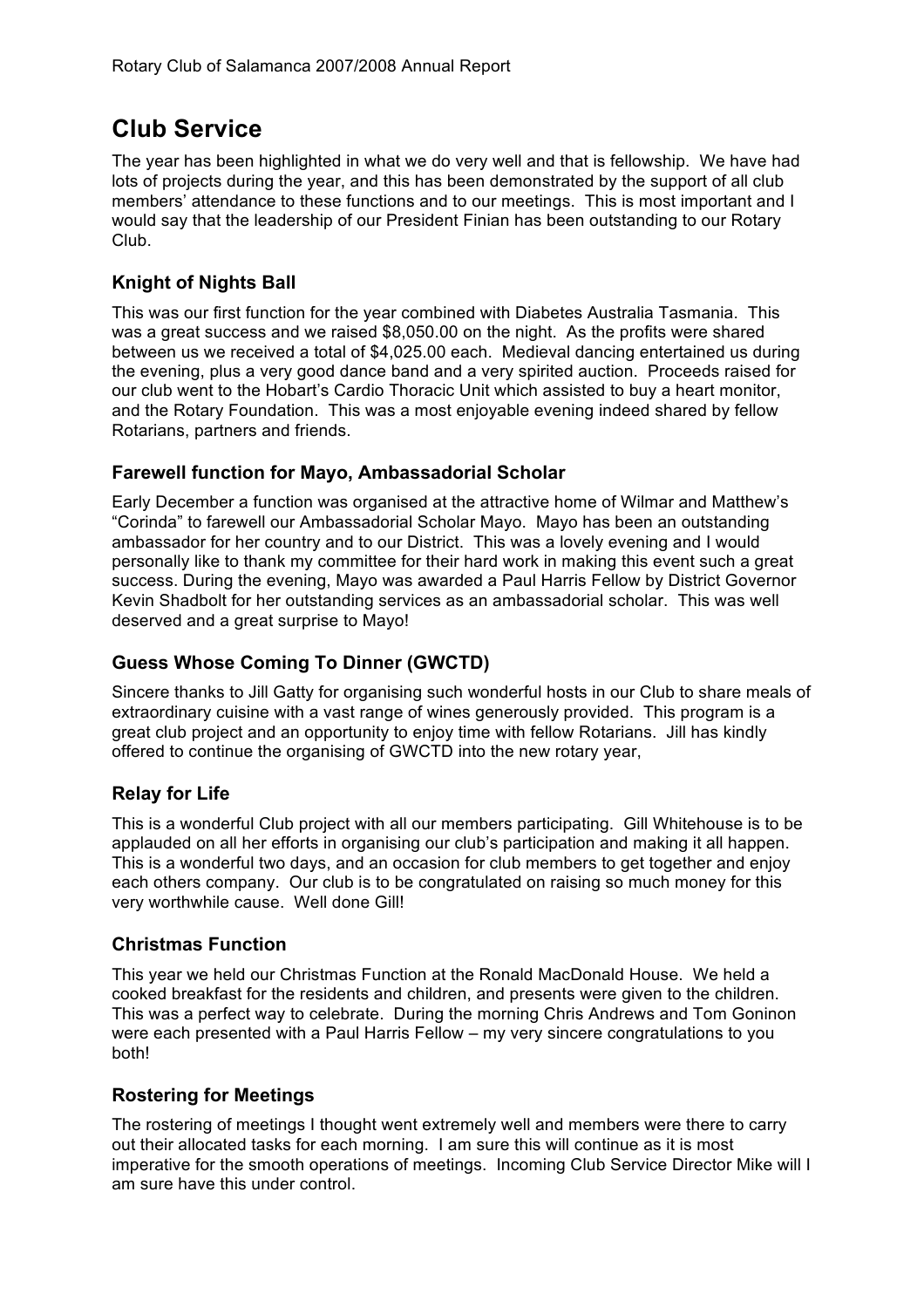# **Club Service**

The year has been highlighted in what we do very well and that is fellowship. We have had lots of projects during the year, and this has been demonstrated by the support of all club members' attendance to these functions and to our meetings. This is most important and I would say that the leadership of our President Finian has been outstanding to our Rotary Club.

# **Knight of Nights Ball**

This was our first function for the year combined with Diabetes Australia Tasmania. This was a great success and we raised \$8,050.00 on the night. As the profits were shared between us we received a total of \$4,025.00 each. Medieval dancing entertained us during the evening, plus a very good dance band and a very spirited auction. Proceeds raised for our club went to the Hobart's Cardio Thoracic Unit which assisted to buy a heart monitor, and the Rotary Foundation. This was a most enjoyable evening indeed shared by fellow Rotarians, partners and friends.

### **Farewell function for Mayo, Ambassadorial Scholar**

Early December a function was organised at the attractive home of Wilmar and Matthew's "Corinda" to farewell our Ambassadorial Scholar Mayo. Mayo has been an outstanding ambassador for her country and to our District. This was a lovely evening and I would personally like to thank my committee for their hard work in making this event such a great success. During the evening, Mayo was awarded a Paul Harris Fellow by District Governor Kevin Shadbolt for her outstanding services as an ambassadorial scholar. This was well deserved and a great surprise to Mayo!

# **Guess Whose Coming To Dinner (GWCTD)**

Sincere thanks to Jill Gatty for organising such wonderful hosts in our Club to share meals of extraordinary cuisine with a vast range of wines generously provided. This program is a great club project and an opportunity to enjoy time with fellow Rotarians. Jill has kindly offered to continue the organising of GWCTD into the new rotary year,

# **Relay for Life**

This is a wonderful Club project with all our members participating. Gill Whitehouse is to be applauded on all her efforts in organising our club's participation and making it all happen. This is a wonderful two days, and an occasion for club members to get together and enjoy each others company. Our club is to be congratulated on raising so much money for this very worthwhile cause. Well done Gill!

#### **Christmas Function**

This year we held our Christmas Function at the Ronald MacDonald House. We held a cooked breakfast for the residents and children, and presents were given to the children. This was a perfect way to celebrate. During the morning Chris Andrews and Tom Goninon were each presented with a Paul Harris Fellow – my very sincere congratulations to you both!

# **Rostering for Meetings**

The rostering of meetings I thought went extremely well and members were there to carry out their allocated tasks for each morning. I am sure this will continue as it is most imperative for the smooth operations of meetings. Incoming Club Service Director Mike will I am sure have this under control.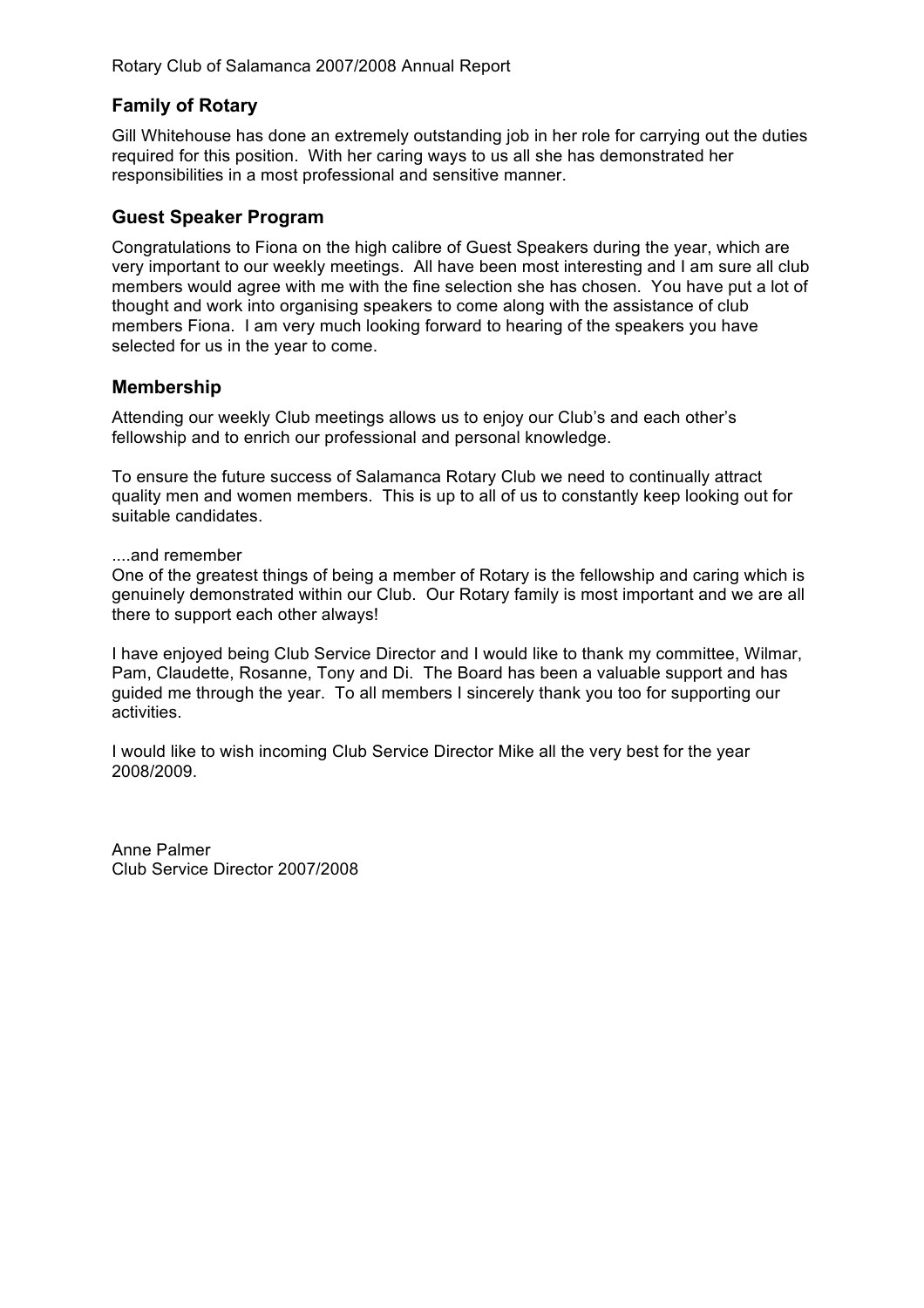# **Family of Rotary**

Gill Whitehouse has done an extremely outstanding job in her role for carrying out the duties required for this position. With her caring ways to us all she has demonstrated her responsibilities in a most professional and sensitive manner.

#### **Guest Speaker Program**

Congratulations to Fiona on the high calibre of Guest Speakers during the year, which are very important to our weekly meetings. All have been most interesting and I am sure all club members would agree with me with the fine selection she has chosen. You have put a lot of thought and work into organising speakers to come along with the assistance of club members Fiona. I am very much looking forward to hearing of the speakers you have selected for us in the year to come.

#### **Membership**

Attending our weekly Club meetings allows us to enjoy our Club's and each other's fellowship and to enrich our professional and personal knowledge.

To ensure the future success of Salamanca Rotary Club we need to continually attract quality men and women members. This is up to all of us to constantly keep looking out for suitable candidates.

#### ....and remember

One of the greatest things of being a member of Rotary is the fellowship and caring which is genuinely demonstrated within our Club. Our Rotary family is most important and we are all there to support each other always!

I have enjoyed being Club Service Director and I would like to thank my committee, Wilmar, Pam, Claudette, Rosanne, Tony and Di. The Board has been a valuable support and has guided me through the year. To all members I sincerely thank you too for supporting our activities.

I would like to wish incoming Club Service Director Mike all the very best for the year 2008/2009.

Anne Palmer Club Service Director 2007/2008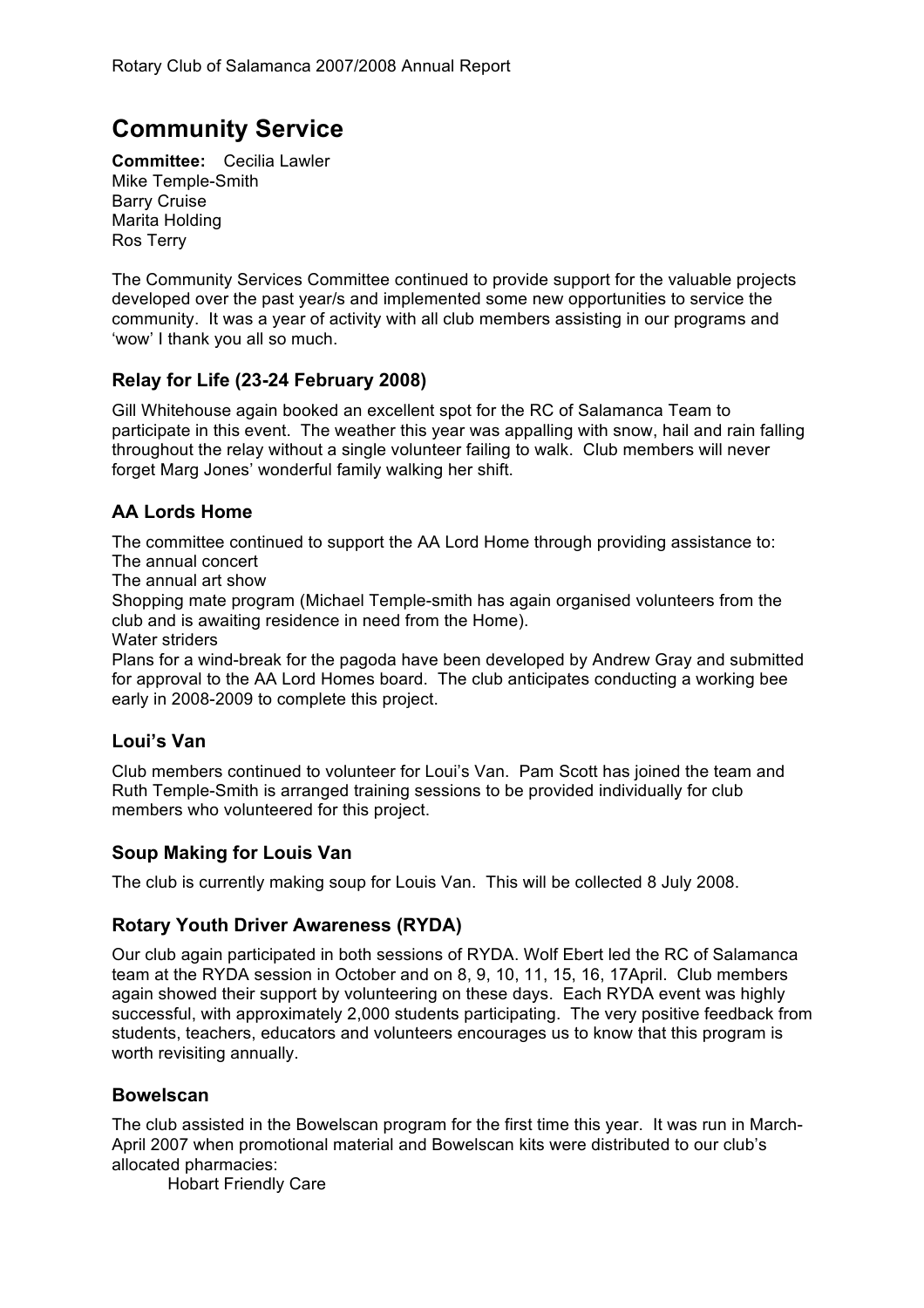# **Community Service**

**Committee:** Cecilia Lawler Mike Temple-Smith Barry Cruise Marita Holding Ros Terry

The Community Services Committee continued to provide support for the valuable projects developed over the past year/s and implemented some new opportunities to service the community. It was a year of activity with all club members assisting in our programs and 'wow' I thank you all so much.

# **Relay for Life (23-24 February 2008)**

Gill Whitehouse again booked an excellent spot for the RC of Salamanca Team to participate in this event. The weather this year was appalling with snow, hail and rain falling throughout the relay without a single volunteer failing to walk. Club members will never forget Marg Jones' wonderful family walking her shift.

# **AA Lords Home**

The committee continued to support the AA Lord Home through providing assistance to: The annual concert

The annual art show

Shopping mate program (Michael Temple-smith has again organised volunteers from the club and is awaiting residence in need from the Home).

Water striders

Plans for a wind-break for the pagoda have been developed by Andrew Gray and submitted for approval to the AA Lord Homes board. The club anticipates conducting a working bee early in 2008-2009 to complete this project.

#### **Loui's Van**

Club members continued to volunteer for Loui's Van. Pam Scott has joined the team and Ruth Temple-Smith is arranged training sessions to be provided individually for club members who volunteered for this project.

# **Soup Making for Louis Van**

The club is currently making soup for Louis Van. This will be collected 8 July 2008.

#### **Rotary Youth Driver Awareness (RYDA)**

Our club again participated in both sessions of RYDA. Wolf Ebert led the RC of Salamanca team at the RYDA session in October and on 8, 9, 10, 11, 15, 16, 17April. Club members again showed their support by volunteering on these days. Each RYDA event was highly successful, with approximately 2,000 students participating. The very positive feedback from students, teachers, educators and volunteers encourages us to know that this program is worth revisiting annually.

#### **Bowelscan**

The club assisted in the Bowelscan program for the first time this year. It was run in March-April 2007 when promotional material and Bowelscan kits were distributed to our club's allocated pharmacies:

Hobart Friendly Care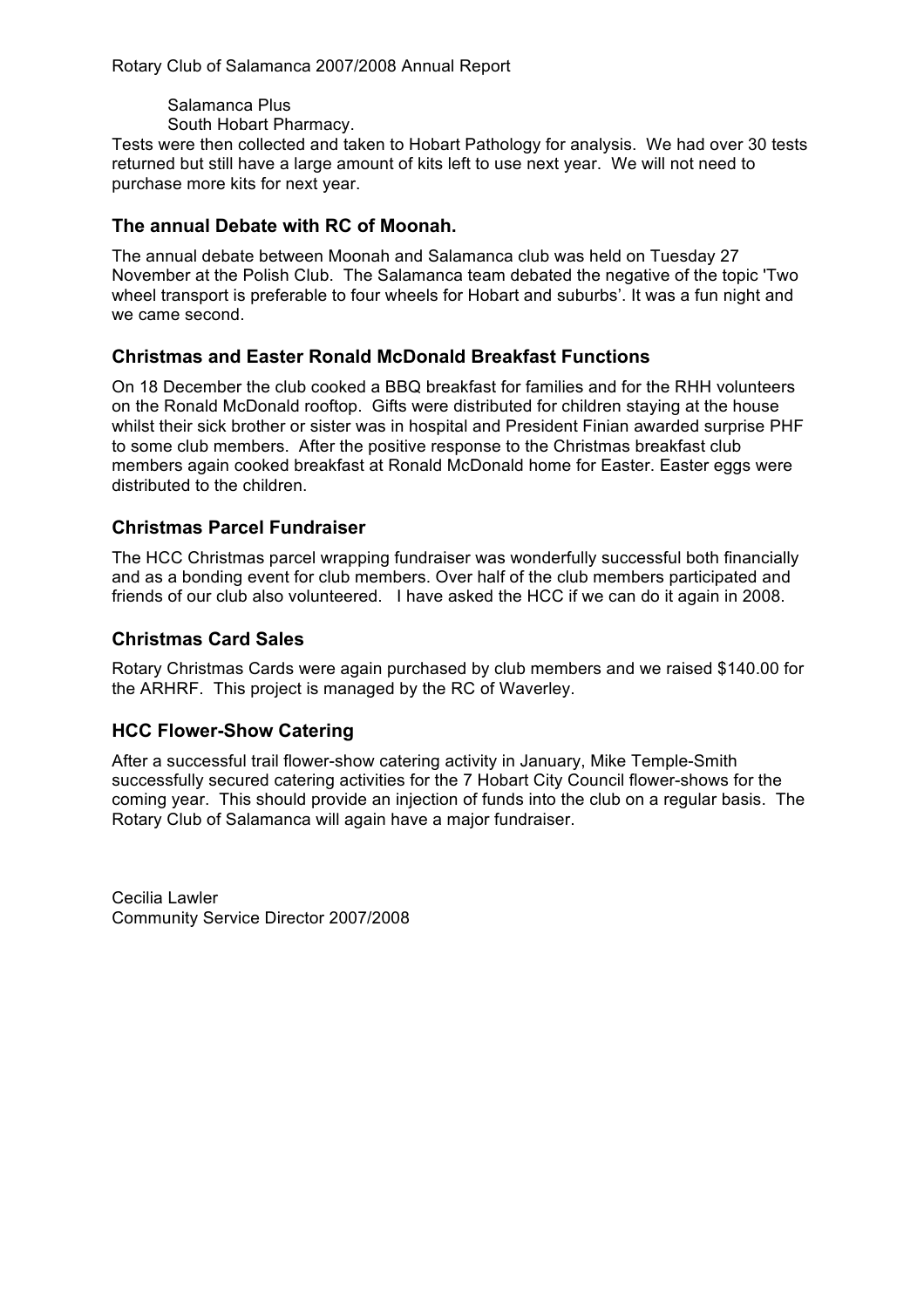Salamanca Plus

South Hobart Pharmacy.

Tests were then collected and taken to Hobart Pathology for analysis. We had over 30 tests returned but still have a large amount of kits left to use next year. We will not need to purchase more kits for next year.

# **The annual Debate with RC of Moonah.**

The annual debate between Moonah and Salamanca club was held on Tuesday 27 November at the Polish Club. The Salamanca team debated the negative of the topic 'Two wheel transport is preferable to four wheels for Hobart and suburbs'. It was a fun night and we came second.

### **Christmas and Easter Ronald McDonald Breakfast Functions**

On 18 December the club cooked a BBQ breakfast for families and for the RHH volunteers on the Ronald McDonald rooftop. Gifts were distributed for children staying at the house whilst their sick brother or sister was in hospital and President Finian awarded surprise PHF to some club members. After the positive response to the Christmas breakfast club members again cooked breakfast at Ronald McDonald home for Easter. Easter eggs were distributed to the children.

#### **Christmas Parcel Fundraiser**

The HCC Christmas parcel wrapping fundraiser was wonderfully successful both financially and as a bonding event for club members. Over half of the club members participated and friends of our club also volunteered. I have asked the HCC if we can do it again in 2008.

### **Christmas Card Sales**

Rotary Christmas Cards were again purchased by club members and we raised \$140.00 for the ARHRF. This project is managed by the RC of Waverley.

#### **HCC Flower-Show Catering**

After a successful trail flower-show catering activity in January, Mike Temple-Smith successfully secured catering activities for the 7 Hobart City Council flower-shows for the coming year. This should provide an injection of funds into the club on a regular basis. The Rotary Club of Salamanca will again have a major fundraiser.

Cecilia Lawler Community Service Director 2007/2008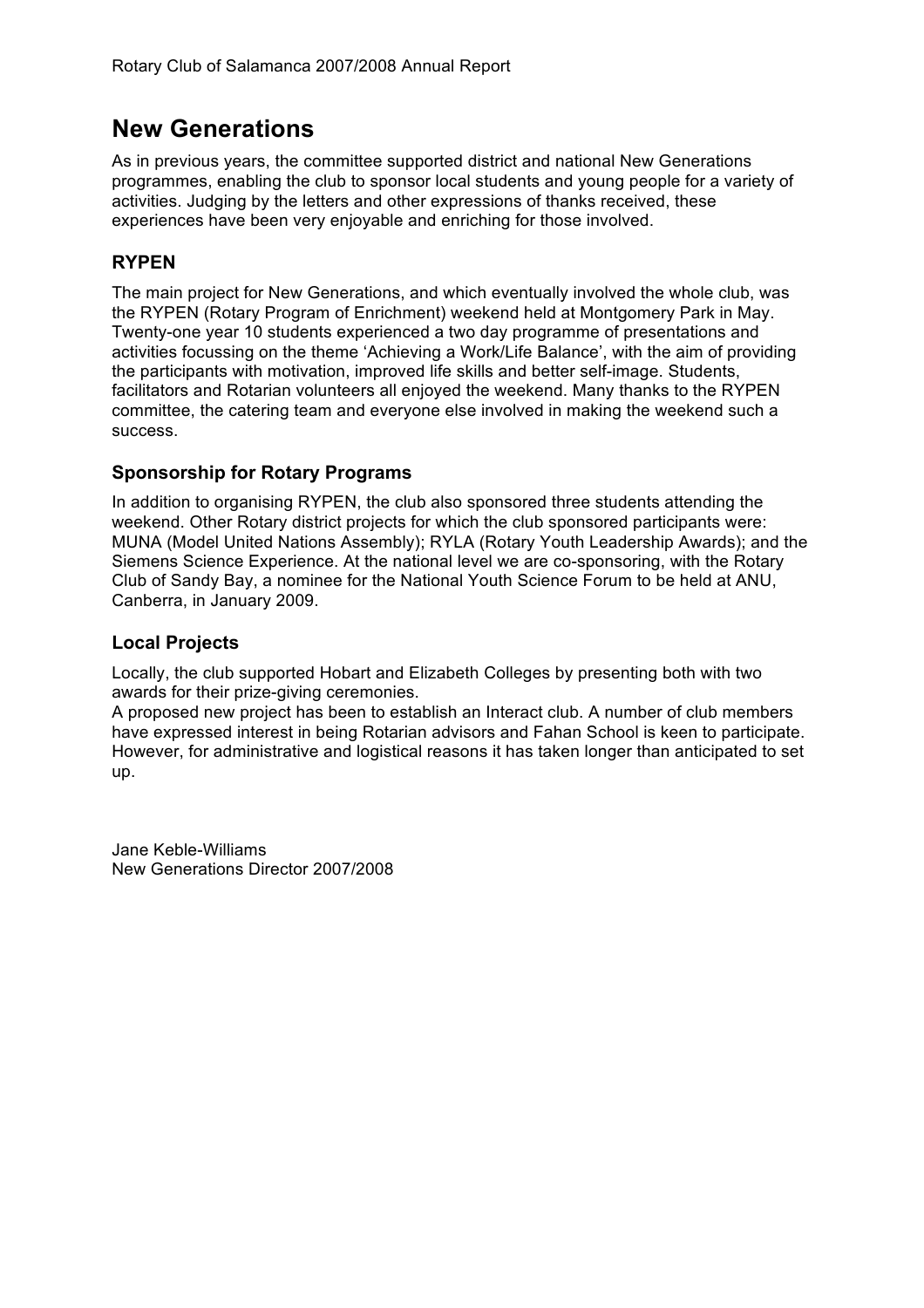# **New Generations**

As in previous years, the committee supported district and national New Generations programmes, enabling the club to sponsor local students and young people for a variety of activities. Judging by the letters and other expressions of thanks received, these experiences have been very enjoyable and enriching for those involved.

# **RYPEN**

The main project for New Generations, and which eventually involved the whole club, was the RYPEN (Rotary Program of Enrichment) weekend held at Montgomery Park in May. Twenty-one year 10 students experienced a two day programme of presentations and activities focussing on the theme 'Achieving a Work/Life Balance', with the aim of providing the participants with motivation, improved life skills and better self-image. Students, facilitators and Rotarian volunteers all enjoyed the weekend. Many thanks to the RYPEN committee, the catering team and everyone else involved in making the weekend such a success.

### **Sponsorship for Rotary Programs**

In addition to organising RYPEN, the club also sponsored three students attending the weekend. Other Rotary district projects for which the club sponsored participants were: MUNA (Model United Nations Assembly); RYLA (Rotary Youth Leadership Awards); and the Siemens Science Experience. At the national level we are co-sponsoring, with the Rotary Club of Sandy Bay, a nominee for the National Youth Science Forum to be held at ANU, Canberra, in January 2009.

# **Local Projects**

Locally, the club supported Hobart and Elizabeth Colleges by presenting both with two awards for their prize-giving ceremonies.

A proposed new project has been to establish an Interact club. A number of club members have expressed interest in being Rotarian advisors and Fahan School is keen to participate. However, for administrative and logistical reasons it has taken longer than anticipated to set up.

Jane Keble-Williams New Generations Director 2007/2008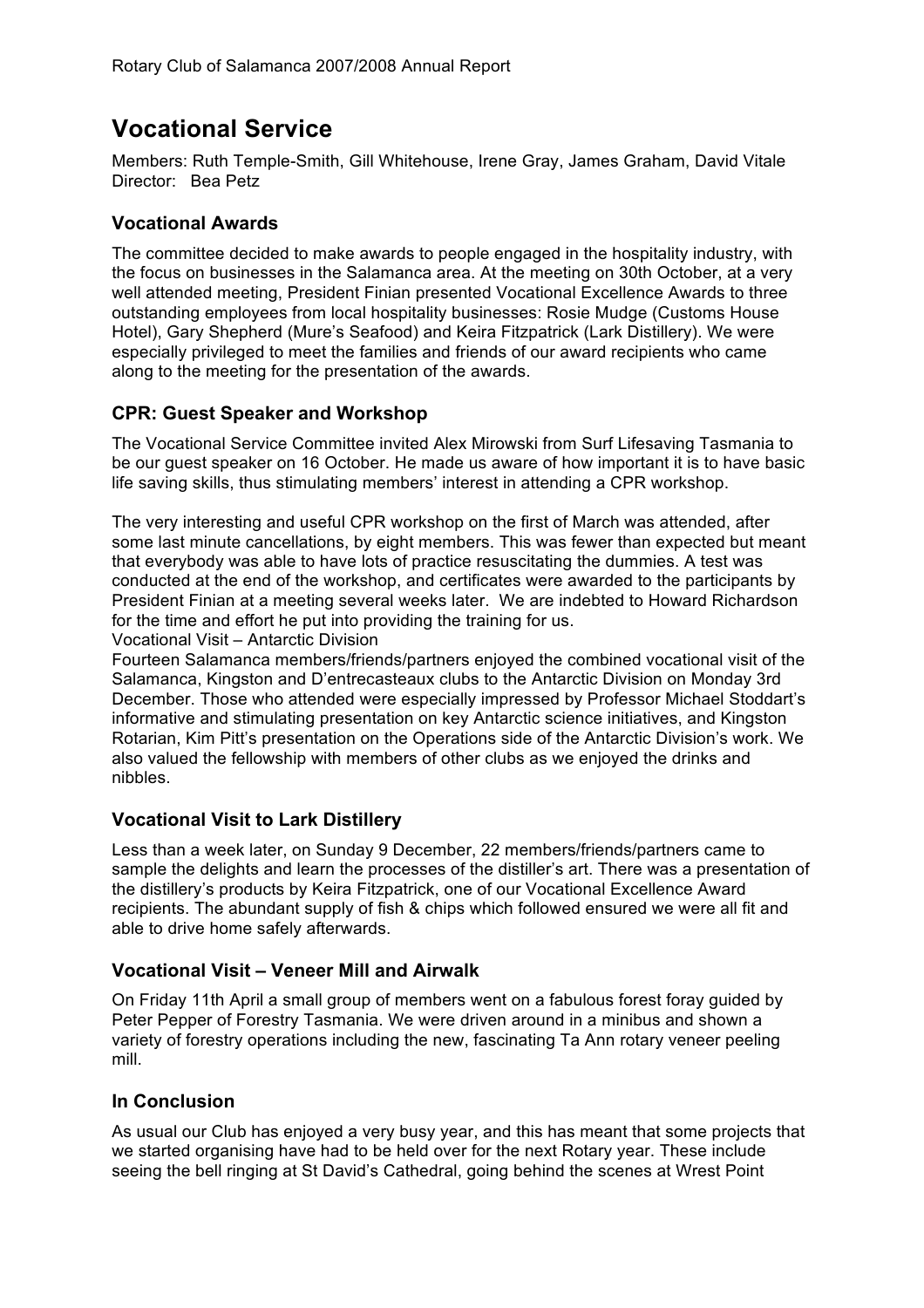# **Vocational Service**

Members: Ruth Temple-Smith, Gill Whitehouse, Irene Gray, James Graham, David Vitale Director: Bea Petz

### **Vocational Awards**

The committee decided to make awards to people engaged in the hospitality industry, with the focus on businesses in the Salamanca area. At the meeting on 30th October, at a very well attended meeting, President Finian presented Vocational Excellence Awards to three outstanding employees from local hospitality businesses: Rosie Mudge (Customs House Hotel), Gary Shepherd (Mure's Seafood) and Keira Fitzpatrick (Lark Distillery). We were especially privileged to meet the families and friends of our award recipients who came along to the meeting for the presentation of the awards.

### **CPR: Guest Speaker and Workshop**

The Vocational Service Committee invited Alex Mirowski from Surf Lifesaving Tasmania to be our guest speaker on 16 October. He made us aware of how important it is to have basic life saving skills, thus stimulating members' interest in attending a CPR workshop.

The very interesting and useful CPR workshop on the first of March was attended, after some last minute cancellations, by eight members. This was fewer than expected but meant that everybody was able to have lots of practice resuscitating the dummies. A test was conducted at the end of the workshop, and certificates were awarded to the participants by President Finian at a meeting several weeks later. We are indebted to Howard Richardson for the time and effort he put into providing the training for us.

Vocational Visit – Antarctic Division

Fourteen Salamanca members/friends/partners enjoyed the combined vocational visit of the Salamanca, Kingston and D'entrecasteaux clubs to the Antarctic Division on Monday 3rd December. Those who attended were especially impressed by Professor Michael Stoddart's informative and stimulating presentation on key Antarctic science initiatives, and Kingston Rotarian, Kim Pitt's presentation on the Operations side of the Antarctic Division's work. We also valued the fellowship with members of other clubs as we enjoyed the drinks and nibbles.

#### **Vocational Visit to Lark Distillery**

Less than a week later, on Sunday 9 December, 22 members/friends/partners came to sample the delights and learn the processes of the distiller's art. There was a presentation of the distillery's products by Keira Fitzpatrick, one of our Vocational Excellence Award recipients. The abundant supply of fish & chips which followed ensured we were all fit and able to drive home safely afterwards.

#### **Vocational Visit – Veneer Mill and Airwalk**

On Friday 11th April a small group of members went on a fabulous forest foray guided by Peter Pepper of Forestry Tasmania. We were driven around in a minibus and shown a variety of forestry operations including the new, fascinating Ta Ann rotary veneer peeling mill.

#### **In Conclusion**

As usual our Club has enjoyed a very busy year, and this has meant that some projects that we started organising have had to be held over for the next Rotary year. These include seeing the bell ringing at St David's Cathedral, going behind the scenes at Wrest Point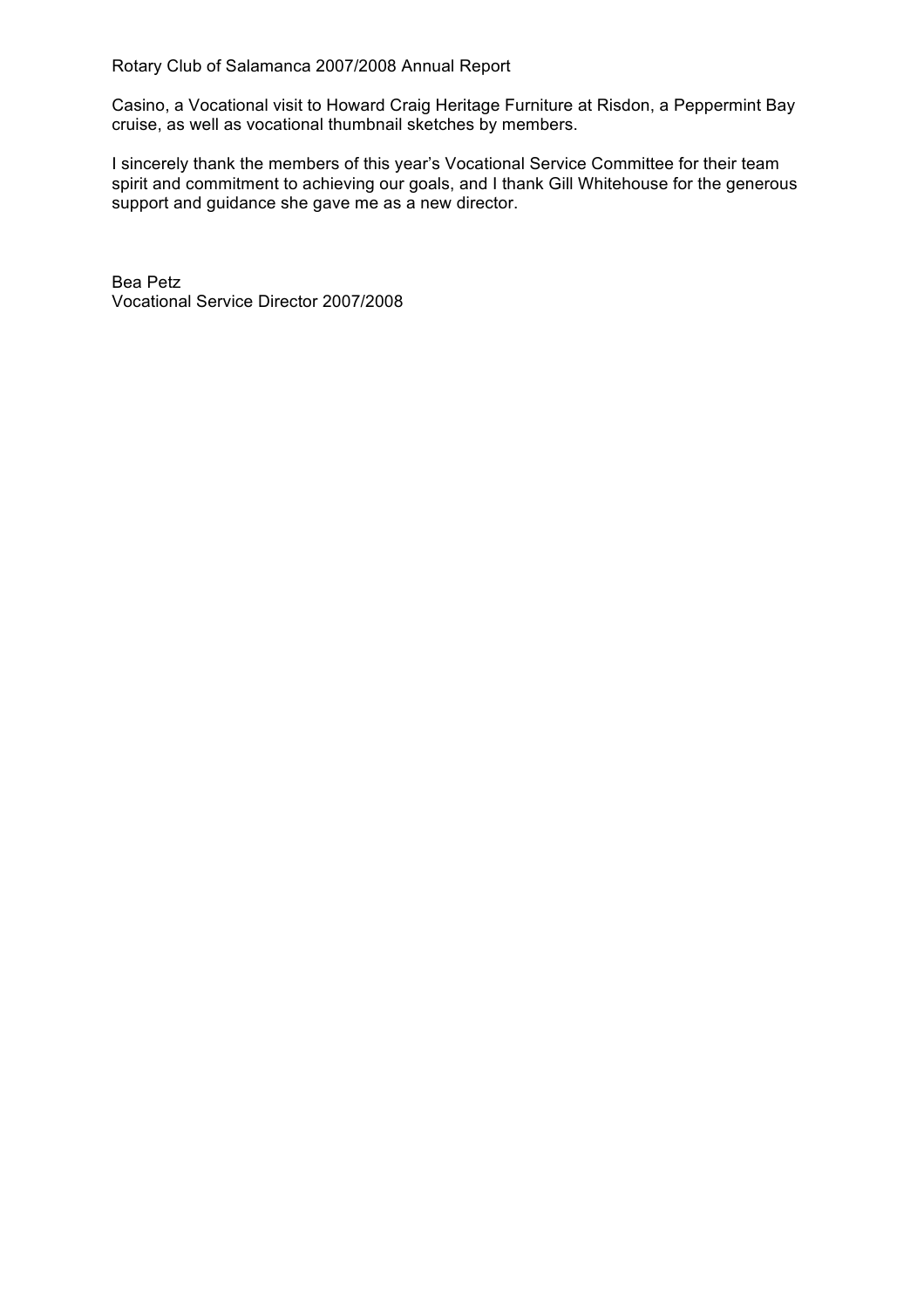Casino, a Vocational visit to Howard Craig Heritage Furniture at Risdon, a Peppermint Bay cruise, as well as vocational thumbnail sketches by members.

I sincerely thank the members of this year's Vocational Service Committee for their team spirit and commitment to achieving our goals, and I thank Gill Whitehouse for the generous support and guidance she gave me as a new director.

Bea Petz Vocational Service Director 2007/2008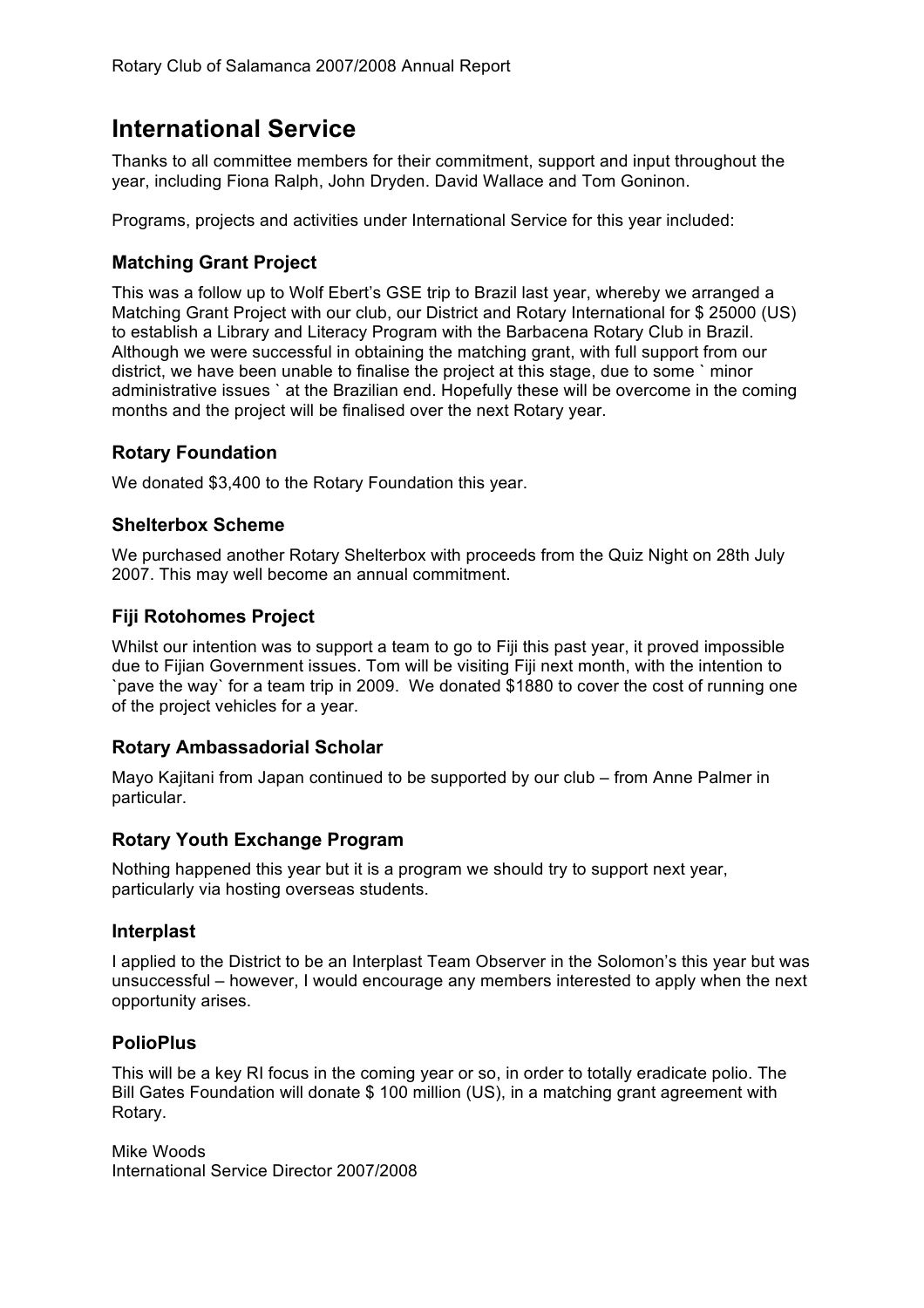# **International Service**

Thanks to all committee members for their commitment, support and input throughout the year, including Fiona Ralph, John Dryden. David Wallace and Tom Goninon.

Programs, projects and activities under International Service for this year included:

### **Matching Grant Project**

This was a follow up to Wolf Ebert's GSE trip to Brazil last year, whereby we arranged a Matching Grant Project with our club, our District and Rotary International for \$ 25000 (US) to establish a Library and Literacy Program with the Barbacena Rotary Club in Brazil. Although we were successful in obtaining the matching grant, with full support from our district, we have been unable to finalise the project at this stage, due to some ` minor administrative issues ` at the Brazilian end. Hopefully these will be overcome in the coming months and the project will be finalised over the next Rotary year.

#### **Rotary Foundation**

We donated \$3,400 to the Rotary Foundation this year.

#### **Shelterbox Scheme**

We purchased another Rotary Shelterbox with proceeds from the Quiz Night on 28th July 2007. This may well become an annual commitment.

### **Fiji Rotohomes Project**

Whilst our intention was to support a team to go to Fiji this past year, it proved impossible due to Fijian Government issues. Tom will be visiting Fiji next month, with the intention to `pave the way` for a team trip in 2009. We donated \$1880 to cover the cost of running one of the project vehicles for a year.

#### **Rotary Ambassadorial Scholar**

Mayo Kajitani from Japan continued to be supported by our club – from Anne Palmer in particular.

#### **Rotary Youth Exchange Program**

Nothing happened this year but it is a program we should try to support next year, particularly via hosting overseas students.

#### **Interplast**

I applied to the District to be an Interplast Team Observer in the Solomon's this year but was unsuccessful – however, I would encourage any members interested to apply when the next opportunity arises.

#### **PolioPlus**

This will be a key RI focus in the coming year or so, in order to totally eradicate polio. The Bill Gates Foundation will donate \$ 100 million (US), in a matching grant agreement with Rotary.

Mike Woods International Service Director 2007/2008